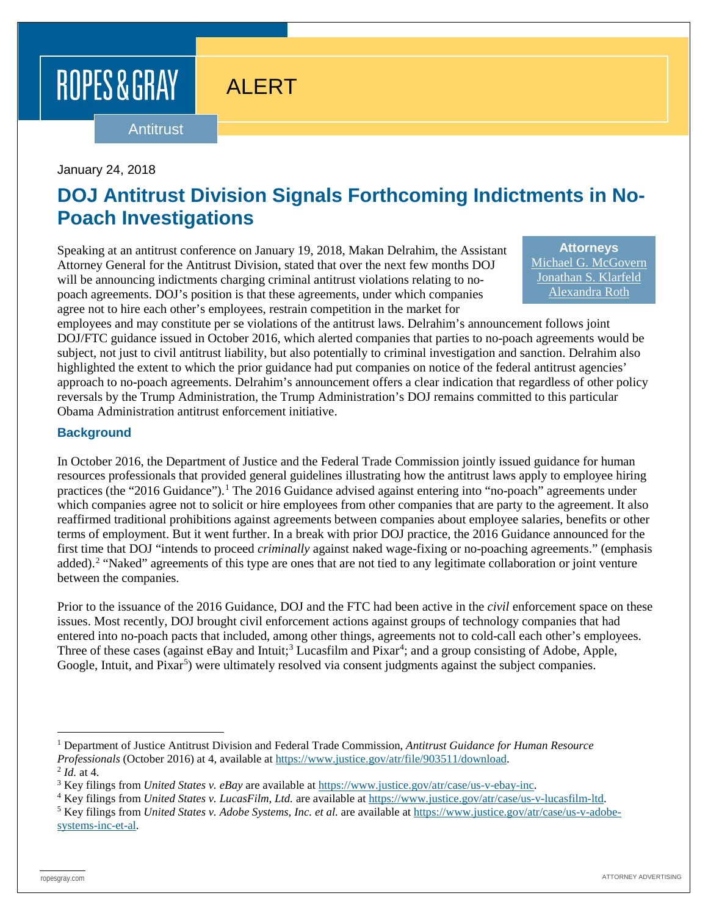# ROPES & GRAY

## ALERT

#### Antitrust

#### January 24, 2018

### **DOJ Antitrust Division Signals Forthcoming Indictments in No-Poach Investigations**

Speaking at an antitrust conference on January 19, 2018, Makan Delrahim, the Assistant Attorney General for the Antitrust Division, stated that over the next few months DOJ will be announcing indictments charging criminal antitrust violations relating to nopoach agreements. DOJ's position is that these agreements, under which companies agree not to hire each other's employees, restrain competition in the market for

**Attorneys** [Michael G. McGovern](https://www.ropesgray.com/biographies/m/michael-g-mcgovern.aspx) [Jonathan S. Klarfeld](https://www.ropesgray.com/biographies/k/Jonathan-Klarfeld.aspx) [Alexandra Roth](https://www.ropesgray.com/biographies/r/alexandra-roth.aspx)

employees and may constitute per se violations of the antitrust laws. Delrahim's announcement follows joint DOJ/FTC guidance issued in October 2016, which alerted companies that parties to no-poach agreements would be subject, not just to civil antitrust liability, but also potentially to criminal investigation and sanction. Delrahim also highlighted the extent to which the prior guidance had put companies on notice of the federal antitrust agencies' approach to no-poach agreements. Delrahim's announcement offers a clear indication that regardless of other policy reversals by the Trump Administration, the Trump Administration's DOJ remains committed to this particular Obama Administration antitrust enforcement initiative.

### **Background**

In October 2016, the Department of Justice and the Federal Trade Commission jointly issued guidance for human resources professionals that provided general guidelines illustrating how the antitrust laws apply to employee hiring practices (the "2016 Guidance").[1](#page-0-0) The 2016 Guidance advised against entering into "no-poach" agreements under which companies agree not to solicit or hire employees from other companies that are party to the agreement. It also reaffirmed traditional prohibitions against agreements between companies about employee salaries, benefits or other terms of employment. But it went further. In a break with prior DOJ practice, the 2016 Guidance announced for the first time that DOJ "intends to proceed *criminally* against naked wage-fixing or no-poaching agreements." (emphasis added).<sup>[2](#page-0-1)</sup> "Naked" agreements of this type are ones that are not tied to any legitimate collaboration or joint venture between the companies.

Prior to the issuance of the 2016 Guidance, DOJ and the FTC had been active in the *civil* enforcement space on these issues. Most recently, DOJ brought civil enforcement actions against groups of technology companies that had entered into no-poach pacts that included, among other things, agreements not to cold-call each other's employees. Three of these cases (against eBay and Intuit;<sup>[3](#page-0-2)</sup> Lucasfilm and Pixar<sup>[4](#page-0-3)</sup>; and a group consisting of Adobe, Apple, Google, Intuit, and Pixar<sup>[5](#page-0-4)</sup>) were ultimately resolved via consent judgments against the subject companies.

<span id="page-0-0"></span> <sup>1</sup> Department of Justice Antitrust Division and Federal Trade Commission, *Antitrust Guidance for Human Resource Professionals* (October 2016) at 4, available at [https://www.justice.gov/atr/file/903511/download.](https://www.justice.gov/atr/file/903511/download) <sup>2</sup> *Id.* at 4.

<span id="page-0-2"></span><span id="page-0-1"></span><sup>3</sup> Key filings from *United States v. eBay* are available at [https://www.justice.gov/atr/case/us-v-ebay-inc.](https://www.justice.gov/atr/case/us-v-ebay-inc)

<span id="page-0-3"></span><sup>&</sup>lt;sup>4</sup> Key filings from *United States v. LucasFilm, Ltd.* are available at [https://www.justice.gov/atr/case/us-v-lucasfilm-ltd.](https://www.justice.gov/atr/case/us-v-lucasfilm-ltd)

<span id="page-0-4"></span><sup>5</sup> Key filings from *United States v. Adobe Systems, Inc. et al.* are available at [https://www.justice.gov/atr/case/us-v-adobe](https://www.justice.gov/atr/case/us-v-adobe-systems-inc-et-al)[systems-inc-et-al.](https://www.justice.gov/atr/case/us-v-adobe-systems-inc-et-al)